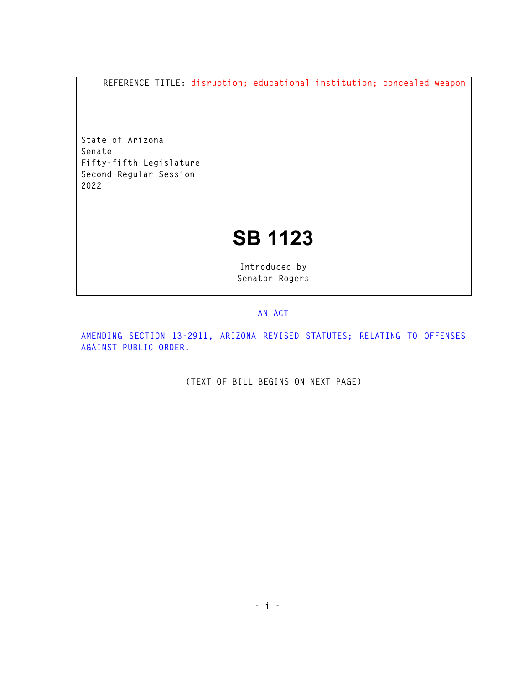**REFERENCE TITLE: disruption; educational institution; concealed weapon** 

**State of Arizona Senate Fifty-fifth Legislature Second Regular Session 2022** 

## **SB 1123**

**Introduced by Senator Rogers** 

## **AN ACT**

**AMENDING SECTION 13-2911, ARIZONA REVISED STATUTES; RELATING TO OFFENSES AGAINST PUBLIC ORDER.** 

**(TEXT OF BILL BEGINS ON NEXT PAGE)**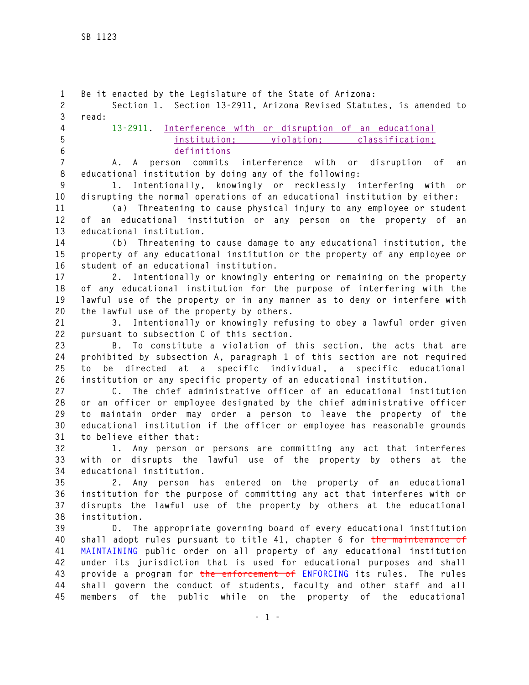**1 Be it enacted by the Legislature of the State of Arizona: 2 Section 1. Section 13-2911, Arizona Revised Statutes, is amended to 3 read: 4 13-2911. Interference with or disruption of an educational 5 institution; violation; classification; 6 definitions 7 A. A person commits interference with or disruption of an 8 educational institution by doing any of the following: 9 1. Intentionally, knowingly or recklessly interfering with or 10 disrupting the normal operations of an educational institution by either: 11 (a) Threatening to cause physical injury to any employee or student 12 of an educational institution or any person on the property of an 13 educational institution. 14 (b) Threatening to cause damage to any educational institution, the 15 property of any educational institution or the property of any employee or 16 student of an educational institution. 17 2. Intentionally or knowingly entering or remaining on the property 18 of any educational institution for the purpose of interfering with the 19 lawful use of the property or in any manner as to deny or interfere with 20 the lawful use of the property by others. 21 3. Intentionally or knowingly refusing to obey a lawful order given 22 pursuant to subsection C of this section. 23 B. To constitute a violation of this section, the acts that are 24 prohibited by subsection A, paragraph 1 of this section are not required 25 to be directed at a specific individual, a specific educational 26 institution or any specific property of an educational institution. 27 C. The chief administrative officer of an educational institution 28 or an officer or employee designated by the chief administrative officer 29 to maintain order may order a person to leave the property of the 30 educational institution if the officer or employee has reasonable grounds 31 to believe either that: 32 1. Any person or persons are committing any act that interferes 33 with or disrupts the lawful use of the property by others at the 34 educational institution. 35 2. Any person has entered on the property of an educational 36 institution for the purpose of committing any act that interferes with or 37 disrupts the lawful use of the property by others at the educational 38 institution. 39 D. The appropriate governing board of every educational institution 40 shall adopt rules pursuant to title 41, chapter 6 for the maintenance of 41 MAINTAINING public order on all property of any educational institution 42 under its jurisdiction that is used for educational purposes and shall 43 provide a program for the enforcement of ENFORCING its rules. The rules 44 shall govern the conduct of students, faculty and other staff and all 45 members of the public while on the property of the educational**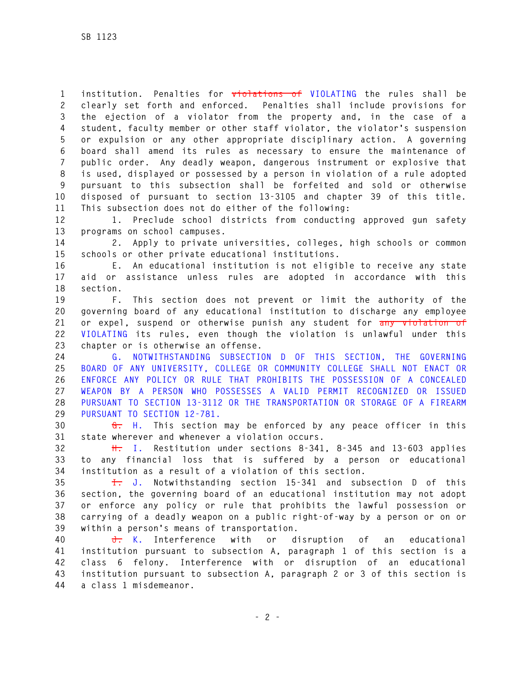**1 institution. Penalties for violations of VIOLATING the rules shall be 2 clearly set forth and enforced. Penalties shall include provisions for 3 the ejection of a violator from the property and, in the case of a 4 student, faculty member or other staff violator, the violator's suspension 5 or expulsion or any other appropriate disciplinary action. A governing 6 board shall amend its rules as necessary to ensure the maintenance of 7 public order. Any deadly weapon, dangerous instrument or explosive that 8 is used, displayed or possessed by a person in violation of a rule adopted 9 pursuant to this subsection shall be forfeited and sold or otherwise 10 disposed of pursuant to section 13-3105 and chapter 39 of this title. 11 This subsection does not do either of the following:** 

**12 1. Preclude school districts from conducting approved gun safety 13 programs on school campuses.** 

**14 2. Apply to private universities, colleges, high schools or common 15 schools or other private educational institutions.** 

**16 E. An educational institution is not eligible to receive any state 17 aid or assistance unless rules are adopted in accordance with this 18 section.** 

**19 F. This section does not prevent or limit the authority of the 20 governing board of any educational institution to discharge any employee 21 or expel, suspend or otherwise punish any student for any violation of 22 VIOLATING its rules, even though the violation is unlawful under this 23 chapter or is otherwise an offense.** 

**24 G. NOTWITHSTANDING SUBSECTION D OF THIS SECTION, THE GOVERNING 25 BOARD OF ANY UNIVERSITY, COLLEGE OR COMMUNITY COLLEGE SHALL NOT ENACT OR 26 ENFORCE ANY POLICY OR RULE THAT PROHIBITS THE POSSESSION OF A CONCEALED 27 WEAPON BY A PERSON WHO POSSESSES A VALID PERMIT RECOGNIZED OR ISSUED 28 PURSUANT TO SECTION 13-3112 OR THE TRANSPORTATION OR STORAGE OF A FIREARM 29 PURSUANT TO SECTION 12-781.** 

**30 G. H. This section may be enforced by any peace officer in this 31 state wherever and whenever a violation occurs.** 

**32 H. I. Restitution under sections 8-341, 8-345 and 13-603 applies 33 to any financial loss that is suffered by a person or educational 34 institution as a result of a violation of this section.** 

**35 I. J. Notwithstanding section 15-341 and subsection D of this 36 section, the governing board of an educational institution may not adopt 37 or enforce any policy or rule that prohibits the lawful possession or 38 carrying of a deadly weapon on a public right-of-way by a person or on or 39 within a person's means of transportation.** 

**40 J. K. Interference with or disruption of an educational 41 institution pursuant to subsection A, paragraph 1 of this section is a 42 class 6 felony. Interference with or disruption of an educational 43 institution pursuant to subsection A, paragraph 2 or 3 of this section is 44 a class 1 misdemeanor.**